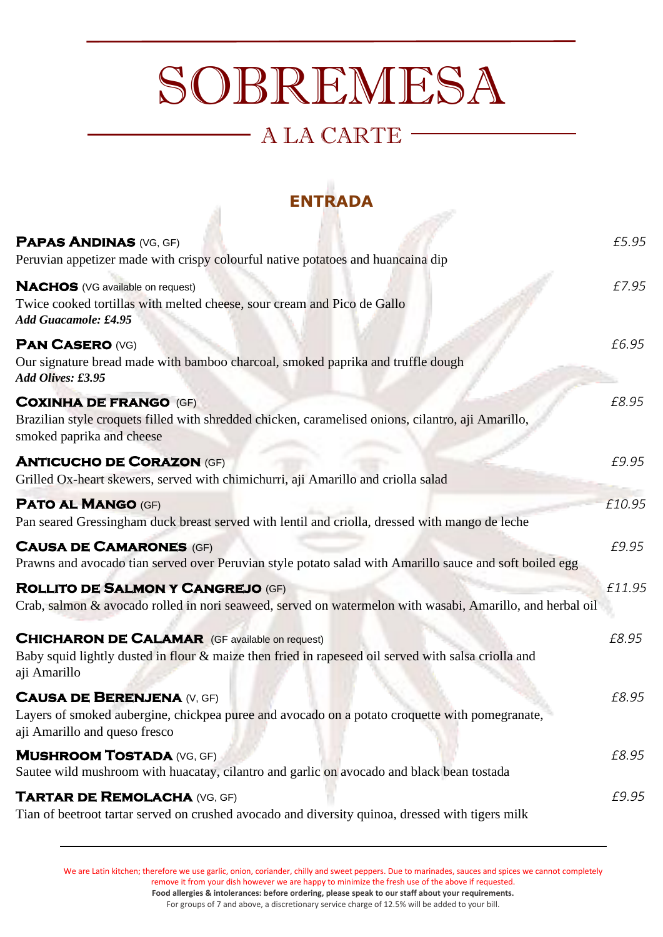# SOBREMESA

## A LA CARTE

### **ENTRADA**

-38

| <b>PAPAS ANDINAS (VG, GF)</b><br>Peruvian appetizer made with crispy colourful native potatoes and huancaina dip                                                             | £5.95  |
|------------------------------------------------------------------------------------------------------------------------------------------------------------------------------|--------|
| <b>NACHOS</b> (VG available on request)<br>Twice cooked tortillas with melted cheese, sour cream and Pico de Gallo<br>Add Guacamole: £4.95                                   | £7.95  |
| <b>PAN CASERO (VG)</b><br>Our signature bread made with bamboo charcoal, smoked paprika and truffle dough<br>Add Olives: £3.95                                               | £6.95  |
| <b>COXINHA DE FRANGO (GF)</b><br>Brazilian style croquets filled with shredded chicken, caramelised onions, cilantro, aji Amarillo,<br>smoked paprika and cheese             | £8.95  |
| <b>ANTICUCHO DE CORAZON (GF)</b><br>Grilled Ox-heart skewers, served with chimichurri, aji Amarillo and criolla salad                                                        | £9.95  |
| <b>PATO AL MANGO (GF)</b><br>Pan seared Gressingham duck breast served with lentil and criolla, dressed with mango de leche                                                  | £10.95 |
| <b>CAUSA DE CAMARONES (GF)</b><br>Prawns and avocado tian served over Peruvian style potato salad with Amarillo sauce and soft boiled egg                                    | £9.95  |
| <b>ROLLITO DE SALMON Y CANGREJO (GF)</b><br>Crab, salmon & avocado rolled in nori seaweed, served on watermelon with wasabi, Amarillo, and herbal oil                        | £11.95 |
| <b>CHICHARON DE CALAMAR</b> (GF available on request)<br>Baby squid lightly dusted in flour & maize then fried in rapeseed oil served with salsa criolla and<br>aji Amarillo | £8.95  |
| <b>CAUSA DE BERENJENA (V, GF)</b><br>Layers of smoked aubergine, chickpea puree and avocado on a potato croquette with pomegranate,<br>aji Amarillo and queso fresco         | £8.95  |
| <b>MUSHROOM TOSTADA (VG, GF)</b><br>Sautee wild mushroom with huacatay, cilantro and garlic on avocado and black bean tostada                                                | £8.95  |
| <b>TARTAR DE REMOLACHA (VG, GF)</b><br>Tian of beetroot tartar served on crushed avocado and diversity quinoa, dressed with tigers milk                                      | £9.95  |

We are Latin kitchen; therefore we use garlic, onion, coriander, chilly and sweet peppers. Due to marinades, sauces and spices we cannot completely remove it from your dish however we are happy to minimize the fresh use of the above if requested. **Food allergies & intolerances: before ordering, please speak to our staff about your requirements.**

For groups of 7 and above, a discretionary service charge of 12.5% will be added to your bill.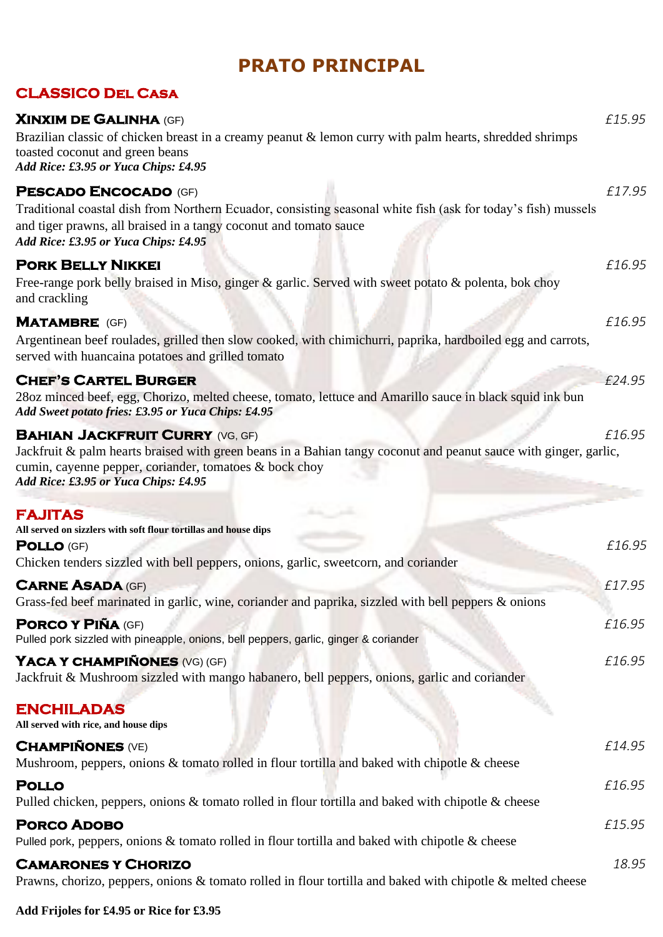#### **PRATO PRINCIPAL**

#### **CLASSICO Del Casa**

| <b>XINXIM DE GALINHA (GF)</b><br>Brazilian classic of chicken breast in a creamy peanut & lemon curry with palm hearts, shredded shrimps<br>toasted coconut and green beans<br>Add Rice: £3.95 or Yuca Chips: £4.95                                          | £15.95 |
|--------------------------------------------------------------------------------------------------------------------------------------------------------------------------------------------------------------------------------------------------------------|--------|
| <b>PESCADO ENCOCADO (GF)</b><br>Traditional coastal dish from Northern Ecuador, consisting seasonal white fish (ask for today's fish) mussels<br>and tiger prawns, all braised in a tangy coconut and tomato sauce<br>Add Rice: £3.95 or Yuca Chips: £4.95   | £17.95 |
| <b>PORK BELLY NIKKEI</b><br>Free-range pork belly braised in Miso, ginger $\&$ garlic. Served with sweet potato $\&$ polenta, bok choy<br>and crackling                                                                                                      | £16.95 |
| <b>MATAMBRE</b> (GF)<br>Argentinean beef roulades, grilled then slow cooked, with chimichurri, paprika, hardboiled egg and carrots,<br>served with huancaina potatoes and grilled tomato                                                                     | £16.95 |
| <b>CHEF'S CARTEL BURGER</b><br>28oz minced beef, egg, Chorizo, melted cheese, tomato, lettuce and Amarillo sauce in black squid ink bun<br>Add Sweet potato fries: £3.95 or Yuca Chips: £4.95                                                                | £24.95 |
| <b>BAHIAN JACKFRUIT CURRY (VG, GF)</b><br>Jackfruit & palm hearts braised with green beans in a Bahian tangy coconut and peanut sauce with ginger, garlic,<br>cumin, cayenne pepper, coriander, tomatoes & bock choy<br>Add Rice: £3.95 or Yuca Chips: £4.95 | £16.95 |
| <b>FAJITAS</b><br>All served on sizzlers with soft flour tortillas and house dips<br><b>POLLO (GF)</b><br>Chicken tenders sizzled with bell peppers, onions, garlic, sweetcorn, and coriander                                                                | £16.95 |
| <b>CARNE ASADA (GF)</b><br>Grass-fed beef marinated in garlic, wine, coriander and paprika, sizzled with bell peppers & onions                                                                                                                               | £17.95 |
| <b>PORCO Y PIÑA (GF)</b><br>Pulled pork sizzled with pineapple, onions, bell peppers, garlic, ginger & coriander                                                                                                                                             | £16.95 |
| YACA Y CHAMPIÑONES (VG) (GF)<br>Jackfruit & Mushroom sizzled with mango habanero, bell peppers, onions, garlic and coriander                                                                                                                                 | £16.95 |
| <b>ENCHILADAS</b><br>All served with rice, and house dips                                                                                                                                                                                                    |        |
| <b>CHAMPIÑONES (VE)</b><br>Mushroom, peppers, onions & tomato rolled in flour tortilla and baked with chipotle & cheese                                                                                                                                      | £14.95 |
| <b>POLLO</b><br>Pulled chicken, peppers, onions $\&$ tomato rolled in flour tortilla and baked with chipotle $\&$ cheese                                                                                                                                     | £16.95 |
| <b>PORCO ADOBO</b><br>Pulled pork, peppers, onions $\&$ tomato rolled in flour tortilla and baked with chipotle $\&$ cheese                                                                                                                                  | £15.95 |
| <b>CAMARONES Y CHORIZO</b><br>Prawns, chorizo, peppers, onions & tomato rolled in flour tortilla and baked with chipotle & melted cheese                                                                                                                     | 18.95  |

**Add Frijoles for £4.95 or Rice for £3.95**